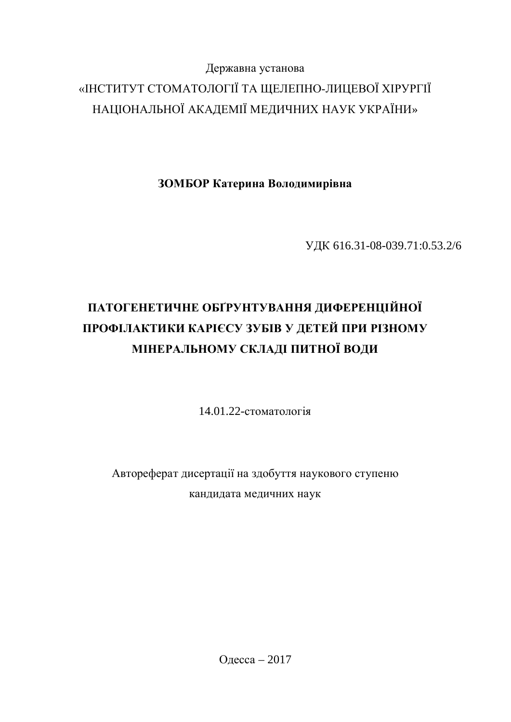# Державна установа «ІНСТИТУТ СТОМАТОЛОГІЇ ТА ЩЕЛЕПНО-ЛИЦЕВОЇ ХІРУРГІЇ НАЦІОНАЛЬНОЇ АКАДЕМІЇ МЕДИЧНИХ НАУК УКРАЇНИ»

ЗОМБОР Катерина Володимирівна

ɍȾɄ 616.31-08-039.71:0.53.2/6

# ПАТОГЕНЕТИЧНЕ ОБГРУНТУВАННЯ ДИФЕРЕНЦІЙНОЇ ПРОФІЛАКТИКИ КАРІЄСУ ЗУБІВ У ДЕТЕЙ ПРИ РІЗНОМУ **МІНЕРАЛЬНОМУ СКЛАДІ ПИТНОЇ ВОДИ**

 $14.01.22$ -стоматологія

Автореферат дисертації на здобуття наукового ступеню кандидата медичних наук

Одесса – 2017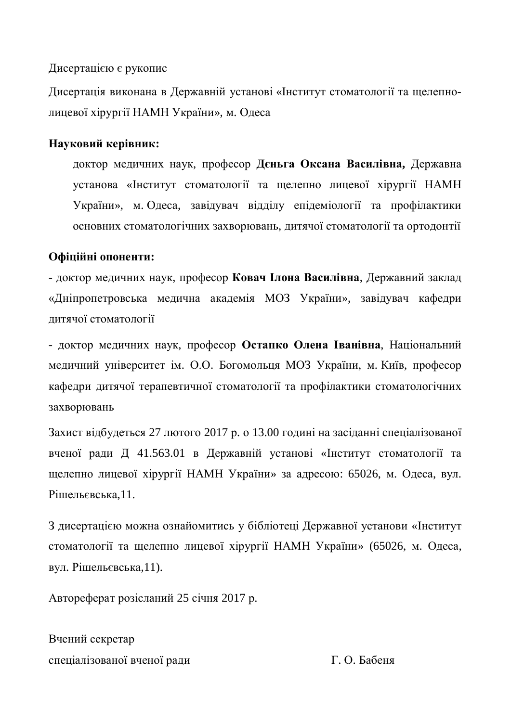### Дисертацією є рукопис

Дисертація виконана в Державній установі «Інститут стоматології та щелепнолицевої хірургії НАМН України», м. Одеса

## Науковий керівник:

доктор медичних наук, професор Дєньга Оксана Василівна, Державна установа «Інститут стоматології та щелепно лицевої хірургії НАМН України», м. Одеса, завідувач відділу епідеміології та профілактики основних стоматологічних захворювань, дитячої стоматології та ортодонтії

# Офіційні опоненти:

- доктор медичних наук, професор Ковач Ілона Василівна, Державний заклад «Дніпропетровська медична академія МОЗ України», завідувач кафедри дитячої стоматології

- доктор медичних наук, професор Остапко Олена Іванівна, Національний медичний університет ім. О.О. Богомольця МОЗ України, м. Київ, професор кафедри дитячої терапевтичної стоматології та профілактики стоматологічних захворювань

Захист відбудеться 27 лютого 2017 р. о 13.00 годині на засіданні спеціалізованої вченої ради Д 41.563.01 в Державній установі «Інститут стоматології та шелепно лицевої хірургії НАМН України» за адресою: 65026, м. Одеса, вул. Piшельєвська.11.

З дисертацією можна ознайомитись у бібліотеці Державної установи «Інститут стоматології та щелепно лицевої хірургії НАМН України» (65026, м. Одеса, вул. Рішельєвська,11).

Автореферат розісланий 25 січня 2017 р.

Вчений секретар спеціалізованої вченої ради П. О. Бабеня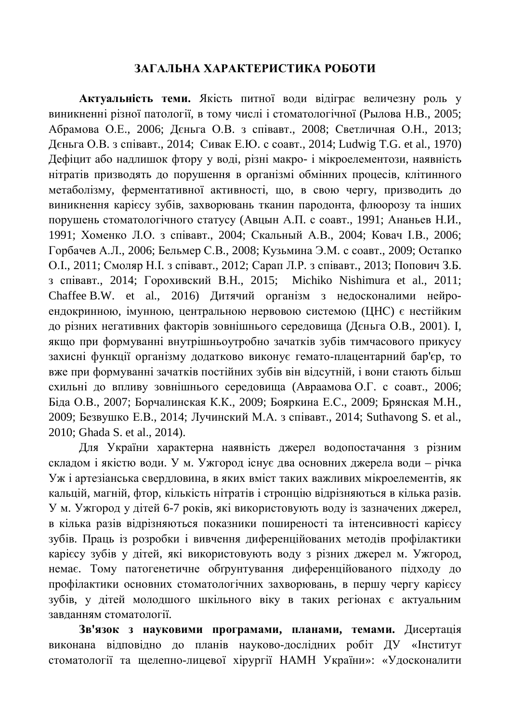#### ЗАГАЛЬНА ХАРАКТЕРИСТИКА РОБОТИ

Актуальність теми. Якість питної води відіграє величезну роль у виникненні різної патології, в тому числі і стоматологічної (Рылова Н.В., 2005; Абрамова О.Е., 2006; Дєньга О.В. з співавт., 2008; Светличная О.Н., 2013; Дєньга О.В. з співавт., 2014; Сивак Е.Ю. с соавт., 2014; Ludwig T.G. et al., 1970) Дефіцит або надлишок фтору у воді, різні макро- і мікроелементози, наявність нітратів призводять до порушення в організмі обмінних процесів, клітинного метаболізму, ферментативної активності, що, в свою чергу, призводить до виникнення карієсу зубів, захворювань тканин пародонта, флюорозу та інших порушень стоматологічного статусу (Авцын А.П. с соавт., 1991; Ананьев Н.И., 1991; Хоменко Л.О. з співавт., 2004; Скальный А.В., 2004; Ковач І.В., 2006; Горбачев А.Л., 2006; Бельмер С.В., 2008; Кузьмина Э.М. с соавт., 2009; Остапко О. I., 2011; Смоляр Н. I. з співавт., 2012; Сарап Л. Р. з співавт., 2013; Попович З. Б. з співавт., 2014; Горохивский В.Н., 2015; Michiko Nishimura et al., 2011; Chaffee B.W. et al., 2016) Дитячий організм з недосконалими нейроендокринною, імунною, центральною нервовою системою (ЦНС) є нестійким до різних негативних факторів зовнішнього середовища (Дєньга О.В., 2001). І, якщо при формуванні внутрішньоутробно зачатків зубів тимчасового прикусу захисні функції організму додатково виконує гемато-плацентарний бар'єр, то вже при формуванні зачатків постійних зубів він відсутній, і вони стають більш схильні до впливу зовнішнього середовища (Авраамова О.Г. с соавт., 2006; Біда О.В., 2007; Борчалинская К.К., 2009; Бояркина Е.С., 2009; Брянская М.Н., 2009; Безвушко Е.В., 2014; Лучинский М.А. з співавт., 2014; Suthavong S. et al., 2010; Ghada S. et al., 2014).

Для України характерна наявність джерел водопостачання з різним складом і якістю води. У м. Ужгород існує два основних джерела води – річка Уж і артезіанська свердловина, в яких вміст таких важливих мікроелементів, як кальцій, магній, фтор, кількість нітратів і стронцію відрізняються в кілька разів. Ум. Ужгород у дітей 6-7 років, які використовують воду із зазначених джерел, в кілька разів відрізняються показники поширеності та інтенсивності карієсу зубів. Праць із розробки і вивчення диференційованих методів профілактики карієсу зубів у дітей, які використовують воду з різних джерел м. Ужгород, немає. Тому патогенетичне обґрунтування диференційованого підходу до профілактики основних стоматологічних захворювань, в першу чергу карієсу зубів, у дітей молодшого шкільного віку в таких регіонах є актуальним завланням стоматології.

Зв'язок з науковими програмами, планами, темами. Дисертація виконана відповідно до планів науково-дослідних робіт ДУ «Інститут стоматології та щелепно-лицевої хірургії НАМН України»: «Удосконалити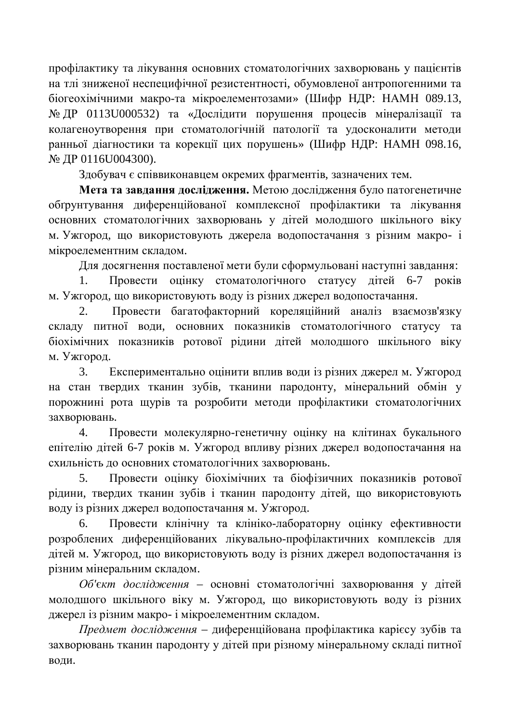профілактику та лікування основних стоматологічних захворювань у пацієнтів на тлі зниженої неспецифічної резистентності, обумовленої антропогенними та біогеохімічними макро-та мікроелементозами» (Шифр НДР: НАМН 089.13, № ДР 0113U000532) та «Дослідити порушення процесів мінералізації та колагеноутворення при стоматологічній патології та удосконалити методи ранньої діагностики та корекції цих порушень» (Шифр НДР: НАМН 098.16,  $\mathcal{N}_$ <sup>o</sup> ДР 0116U004300).

Злобувач є співвиконавцем окремих фрагментів, зазначених тем.

Мета та завдання дослідження. Метою дослідження було патогенетичне обґрунтування диференційованої комплексної профілактики та лікування основних стоматологічних захворювань у дітей молодшого шкільного віку м. Ужгород, що використовують джерела водопостачання з різним макро- і мікроелементним складом.

Для досягнення поставленої мети були сформульовані наступні завдання:

1. Провести оцінку стоматологічного статусу дітей 6-7 років м. Ужгород, що використовують воду із різних джерел водопостачання.

2. Провести багатофакторний кореляційний аналіз взаємозв'язку складу питної води, основних показників стоматологічного статусу та біохімічних показників ротової рідини дітей молодшого шкільного віку м. Ужгород.

3. Експериментально оцінити вплив води із різних джерел м. Ужгород на стан твердих тканин зубів, тканини пародонту, мінеральний обмін у порожнині рота щурів та розробити методи профілактики стоматологічних захворювань.

4. Провести молекулярно-генетичну оцінку на клітинах букального епітелію дітей 6-7 років м. Ужгород впливу різних джерел водопостачання на схильність до основних стоматологічних захворювань.

5. Провести оцінку біохімічних та біофізичних показників ротової рідини, твердих тканин зубів і тканин пародонту дітей, що використовують воду із різних джерел водопостачання м. Ужгород.

6. Провести клінічну та клініко-лабораторну оцінку ефективности розроблених диференційованих лікувально-профілактичних комплексів для дітейм. Ужгород, що використовують воду із різних джерел водопостачання із різним мінеральним складом.

Об'єкт дослідження – основні стоматологічні захворювання у дітей молодшого шкільного віку м. Ужгород, що використовують воду із різних джерел із різним макро- і мікроелементним складом.

*Предмет дослідження* – диференційована профілактика карієсу зубів та захворювань тканин пародонту у дітей при різному мінеральному складі питної води.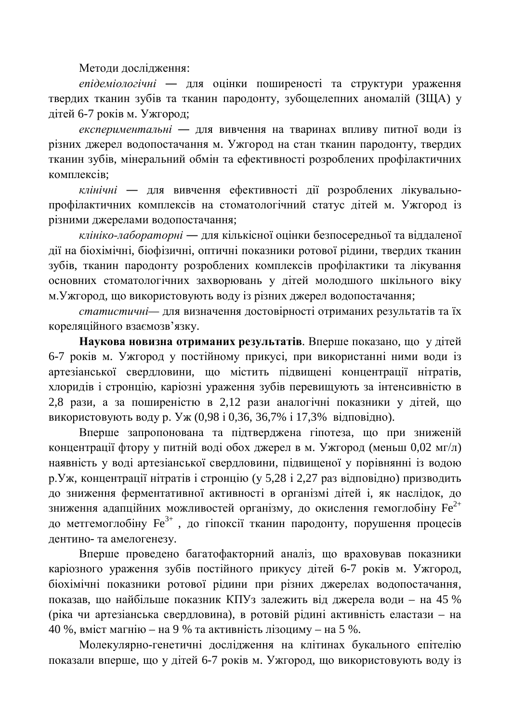Методи дослідження:

*епідеміологічні* — для оцінки поширеності та структури ураження твердих тканин зубів та тканин пародонту, зубошелепних аномалій (ЗША) у дітей 6-7 років м. Ужгород;

експериментальні — для вивчення на тваринах впливу питної води із різних джерел водопостачання м. Ужгород на стан тканин пародонту, твердих тканин зубів, мінеральний обмін та ефективності розроблених профілактичних **κ** ο ΜΠΠΕΚΕΙΒ:

клінічні — для вивчення ефективності дії розроблених лікувальнопрофілактичних комплексів на стоматологічний статус дітей м. Ужгород із різними джерелами водопостачання;

*клініко-лабораторні* — для кількісної оцінки безпосередньої та віддаленої дії на біохімічні, біофізичні, оптичні показники ротової рідини, твердих тканин зубів, тканин пародонту розроблених комплексів профілактики та лікування основних стоматологічних захворювань у дітей молодшого шкільного віку м. Ужгород, що використовують воду із різних джерел водопостачання;

статистичні— для визначення достовірності отриманих результатів та їх кореляційного взаємозв'язку.

Наукова новизна отриманих результатів. Вперше показано, що у дітей 6-7 років м. Ужгород у постійному прикусі, при використанні ними води із артезіанської свердловини, що містить підвищені концентрації нітратів, хлоридів і стронцію, каріозні ураження зубів перевищують за інтенсивністю в 2,8 рази, а за поширеністю в 2,12 рази аналогічні показники у дітей, що використовують воду р. Уж (0,98 і 0,36, 36,7% і 17,3% відповідно).

Вперше запропонована та підтверджена гіпотеза, що при зниженій концентрації фтору у питній воді обох джерел в м. Ужгород (меньш 0,02 мг/л) наявність у воді артезіанської свердловини, підвищеної у порівнянні із водою р. Уж, концентрації нітратів і стронцію (у 5,28 і 2,27 раз відповідно) призводить до зниження ферментативної активності в організмі дітей і, як наслідок, до зниження адапційних можливостей організму, до окислення гемоглобіну  $Fe^{2+}$ до метгемоглобіну  $\mathrm{Fe}^{3+}$  , до гіпоксії тканин пародонту, порушення процесів дентино- та амелогенезу.

Вперше проведено багатофакторний аналіз, що враховував показники каріозного ураження зубів постійного прикусу дітей 6-7 років м. Ужгород, біохімічні показники ротової рідини при різних джерелах водопостачання, показав, що найбільше показник КПУз залежить від джерела води - на 45 % (ріка чи артезіанська свердловина), в ротовій рідині активність еластази – на 40 %, вміст магнію – на 9 % та активність лізоциму – на 5 %.

Молекулярно-генетичні дослідження на клітинах букального епітелію показали вперше, що у дітей 6-7 років м. Ужгород, що використовують воду із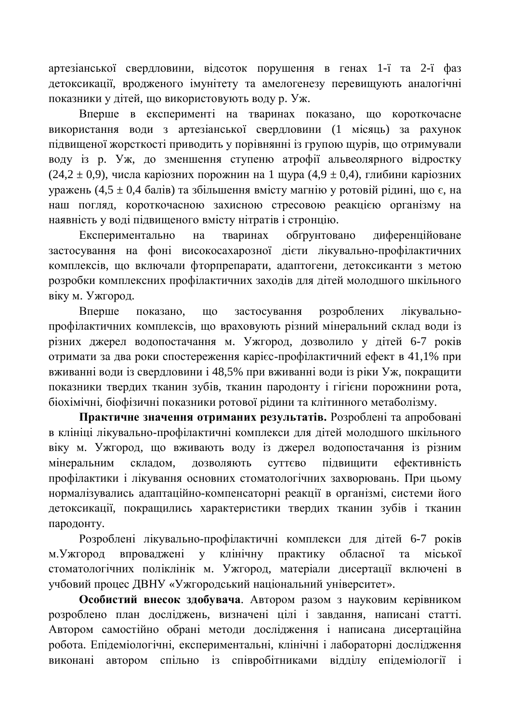артезіанської свердловини, відсоток порушення в генах 1-ї та 2-ї фаз детоксикації, вродженого імунітету та амелогенезу перевищують аналогічні показники у літей, що використовують волу р. Уж.

Вперше в експерименті на тваринах показано, що короткочасне використання води з артезіанської свердловини (1 місяць) за рахунок підвищеної жорсткості приводить у порівнянні із групою щурів, що отримували воду із р. Уж, до зменшення ступеню атрофії альвеолярного відростку (24,2 ± 0,9), числа каріозних порожнин на 1 шура (4,9 ± 0,4), глибини каріозних уражень (4,5  $\pm$  0,4 балів) та збільшення вмісту магнію у ротовій рідині, що є, на наш погляд, короткочасною захисною стресовою реакцією організму на наявність у воді підвищеного вмісту нітратів і стронцію.

Експериментально на тваринах обгрунтовано диференційоване застосування на фоні високосахарозної дієти лікувально-профілактичних комплексів, що включали фторпрепарати, адаптогени, детоксиканти з метою розробки комплексних профілактичних заходів для дітей молодшого шкільного віку м. Ужгород.

Вперше показано, що застосування розроблених лікувальнопрофілактичних комплексів, що враховують різний мінеральний склад води із різних джерел водопостачання м. Ужгород, дозволило у дітей 6-7 років отримати за два роки спостереження карієс-профілактичний ефект в 41,1% при вживанні води із свердловини і 48,5% при вживанні води із ріки Уж, покращити показники твердих тканин зубів, тканин пародонту і гігієни порожнини рота, біохімічні, біофізичні показники ротової рілини та клітинного метаболізму.

Практичне значення отриманих результатів. Розроблені та апробовані в клініці лікувально-профілактичні комплекси для дітей молодшого шкільного віку м. Ужгород, що вживають воду із джерел водопостачання із різним мінеральним складом, дозволяють суттєво підвищити ефективність профілактики і лікування основних стоматологічних захворювань. При цьому нормалізувались адаптаційно-компенсаторні реакції в організмі, системи його детоксикації, покращились характеристики твердих тканин зубів і тканин пародонту.

Розроблені лікувально-профілактичні комплекси для дітей 6-7 років м. Ужгород впроваджені у клінічну практику обласної та міської стоматологічних поліклінік м. Ужгород, матеріали дисертації включені в учбовий процес ДВНУ «Ужгородський національний університет».

Особистий внесок здобувача. Автором разом з науковим керівником розроблено план досліджень, визначені цілі і завдання, написані статті. Автором самостійно обрані методи дослідження і написана дисертаційна робота. Епідеміологічні, експериментальні, клінічні і лабораторні дослідження виконані автором спільно із співробітниками відділу епідеміології і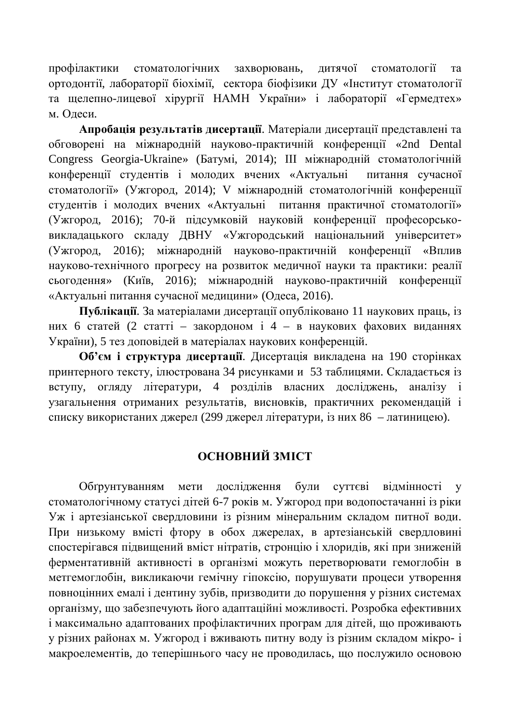профілактики стоматологічних захворювань, дитячої стоматології та ортодонтії, лабораторії біохімії, сектора біофізики ДУ «Інститут стоматології та шелепно-лицевої хірургії НАМН України» і лабораторії «Гермелтех» м. Одеси.

Апробація результатів дисертації. Матеріали дисертації представлені та обговорені на міжнародній науково-практичній конференції «2nd Dental Congress Georgia-Ukraine» (Батумі, 2014); III міжнародній стоматологічній конференції студентів і молодих вчених «Актуальні питання сучасної стоматології» (Ужгород, 2014); V міжнародній стоматологічній конференції студентів і молодих вчених «Актуальні питання практичної стоматології» (Ужгород, 2016); 70-й підсумковій науковій конференції професорськовикладацького складу ДВНУ «Ужгородський національний університет» (Ужгород, 2016); міжнародній науково-практичній конференції «Вплив науково-технічного прогресу на розвиток медичної науки та практики: реалії сьогодення» (Київ, 2016); міжнародній науково-практичній конференції «Актуальні питання сучасної медицини» (Одеса, 2016).

Публікації. За матеріалами дисертації опубліковано 11 наукових праць, із них 6 статей (2 статті – закордоном і 4 – в наукових фахових виданнях України), 5 тез доповідей в матеріалах наукових конференцій.

**Об'єм і структура дисертації**. Дисертація викладена на 190 сторінках принтерного тексту, ілюстрована 34 рисунками и 53 таблицями. Складається із вступу, огляду літератури, 4 розділів власних досліджень, аналізу і узагальнення отриманих результатів, висновків, практичних рекомендацій і списку використаних джерел (299 джерел літератури, із них 86 – латиницею).

## **ОСНОВНИЙ ЗМІСТ**

Обґрунтуванням мети дослідження були суттєві відмінності у стоматологічному статусі дітей 6-7 років м. Ужгород при водопостачанні із ріки Уж і артезіанської свердловини із різним мінеральним складом питної води. При низькому вмісті фтору в обох джерелах, в артезіанській свердловині спостерігався підвищений вміст нітратів, стронцію і хлоридів, які при зниженій ферментативній активності в організмі можуть перетворювати гемоглобін в метгемоглобін, викликаючи гемічну гіпоксію, порушувати процеси утворення повноцінних емалі і дентину зубів, призводити до порушення у різних системах організму, що забезпечують його адаптаційні можливості. Розробка ефективних і максимально адаптованих профілактичних програм для дітей, що проживають у різних районах м. Ужгород і вживають питну воду із різним складом мікро- і макроелементів, до теперішнього часу не проводилась, що послужило основою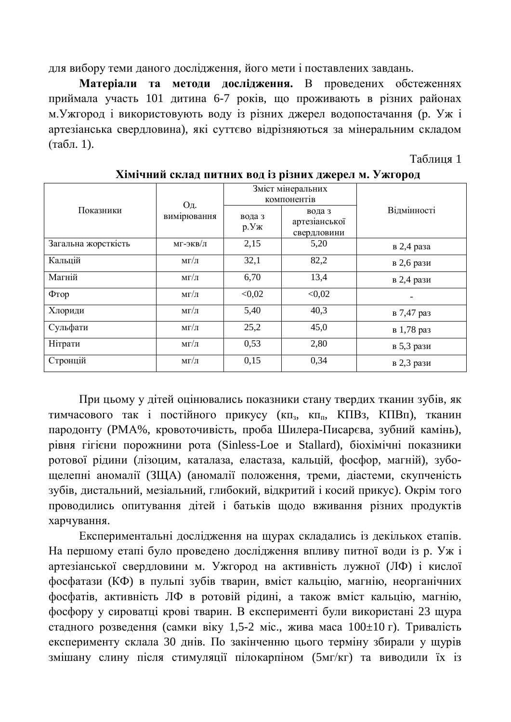для вибору теми даного дослідження, його мети і поставлених завдань.

Матеріали та методи дослідження. В проведених обстеженнях приймала участь 101 дитина 6-7 років, що проживають в різних районах м. Ужгород і використовують воду із різних джерел водопостачання (р. Уж і артезіанська свердловина), які суттєво відрізняються за мінеральним складом  $(\text{табл. 1}).$ 

Таблиця 1

| Показники           | Од.<br>вимірювання | Зміст мінеральних<br>компонентів |                                        |             |
|---------------------|--------------------|----------------------------------|----------------------------------------|-------------|
|                     |                    | вода з<br>p.Yx                   | вода з<br>артезіанської<br>свердловини | Відмінності |
| Загальна жорсткість | мг-экв/л           | 2,15                             | 5,20                                   | в 2,4 раза  |
| Кальцій             | $M\Gamma/\Pi$      | 32,1                             | 82,2                                   | в 2,6 рази  |
| Магній              | $M\Gamma/\Pi$      | 6,70                             | 13,4                                   | в 2,4 рази  |
| $\Phi$ TOP          | $M\Gamma/\Pi$      | < 0.02                           | < 0.02                                 |             |
| Хлориди             | $M\Gamma/\Pi$      | 5,40                             | 40,3                                   | в 7,47 раз  |
| Сульфати            | $M\Gamma/\Pi$      | 25,2                             | 45,0                                   | в 1,78 раз  |
| Нітрати             | $M\Gamma/\Pi$      | 0,53                             | 2,80                                   | в 5,3 рази  |
| Стронцій            | $M\Gamma/\Pi$      | 0,15                             | 0,34                                   | в 2,3 рази  |

**ɏɿɦɿɱɧɢɣɫɤɥɚɞɩɢɬɧɢɯɜɨɞɿɡɪɿɡɧɢɯɞɠɟɪɟɥɦ. ɍɠɝɨɪɨɞ**

При цьому у дітей оцінювались показники стану твердих тканин зубів, як тимчасового так і постійного прикусу (кп<sub>з</sub>, кп<sub>п</sub>, КПВз, КПВп), тканин пародонту (РМА%, кровоточивість, проба Шилера-Писарєва, зубний камінь), рівня гігієни порожнини рота (Sinless-Loe и Stallard), біохімічні показники ротової рідини (лізоцим, каталаза, еластаза, кальцій, фосфор, магній), зубощелепні аномалії (ЗЩА) (аномалії положення, треми, діастеми, скупченість зубів, дистальний, мезіальний, глибокий, відкритий і косий прикус). Окрім того проводились опитування дітей і батьків щодо вживання різних продуктів харчування.

Експериментальні дослідження на щурах складались із декількох етапів. На першому етапі було проведено дослідження впливу питної води із р. Уж і артезіанської свердловини м. Ужгород на активність лужної (ЛФ) і кислої фосфатази (КФ) в пульпі зубів тварин, вміст кальцію, магнію, неорганічних фосфатів, активність ЛФ в ротовій рідині, а також вміст кальцію, магнію, фосфору у сироватці крові тварин. В експерименті були використані 23 щура стадного розведення (самки віку 1,5-2 міс., жива маса 100±10 г). Тривалість експерименту склала 30 днів. По закінченню цього терміну збирали у щурів змішану слину після стимуляції пілокарпіном (5мг/кг) та виводили їх із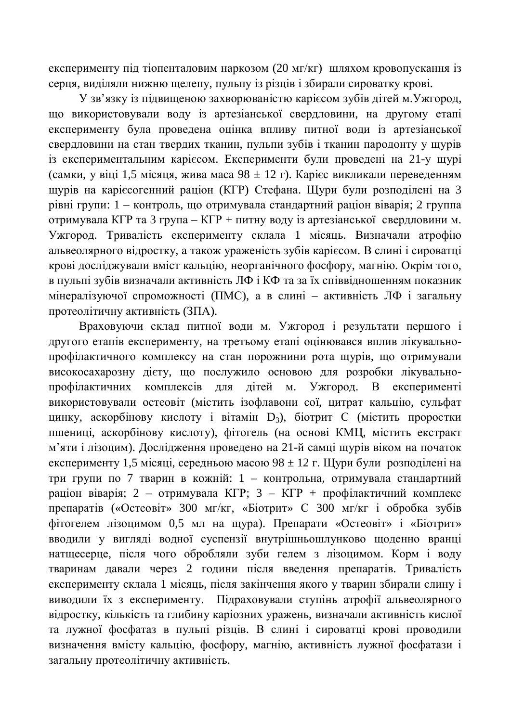експерименту під тіопенталовим наркозом (20 мг/кг) шляхом кровопускання із серця, виділяли нижню щелепу, пульпу із різців і збирали сироватку крові.

У зв'язку із пілвишеною захворюваністю карієсом зубів літейм. Ужгород. що використовували воду із артезіанської свердловини, на другому етапі експерименту була проведена оцінка впливу питної води із артезіанської свердловини на стан твердих тканин, пульпи зубів і тканин пародонту у щурів із експериментальним карієсом. Експерименти були проведені на 21-у щурі (самки, у віці 1,5 місяця, жива маса 98 ± 12 г). Карієс викликали переведенням щурів на каріє согенний раціон (КГР) Стефана. Щури були розподілені на 3 рівні групи: 1 – контроль, що отримувала стандартний раціон віварія; 2 группа отримувала КГР та 3 група – КГР + питну воду із артезіанської свердловини м. Ужгород. Тривалість експерименту склала 1 місяць. Визначали атрофію альвеолярного відростку, а також ураженість зубів карієсом. В слині і сироватці крові досліджували вміст кальцію, неорганічного фосфору, магнію. Окрім того, в пульпі зубів визначали активність ЛФ і КФ та за їх співвідношенням показник мінералізуючої спроможності (ПМС), а в слині – активність ЛФ і загальну протеолітичну активність (ЗПА).

Враховуючи склад питної води м. Ужгород і результати першого і другого етапів експерименту, на третьому етапі оцінювався вплив лікувальнопрофілактичного комплексу на стан порожнини рота щурів, що отримували високосахарозну дієту, що послужило основою для розробки лікувальнопрофілактичних комплексів для дітей м. Ужгород. В експерименті використовували остеовіт (містить ізофлавони сої, цитрат кальцію, сульфат цинку, аскорбінову кислоту і вітамін D<sub>3</sub>), біотрит С (містить проростки пшениці, аскорбінову кислоту), фітогель (на основі КМЦ, містить екстракт м'яти і лізоцим). Дослідження проведено на 21-й самці щурів віком на початок експерименту 1,5 місяці, середньою масою 98 ± 12 г. Щури були розподілені на три групи по 7 тварин в кожній: 1 – контрольна, отримувала стандартний раціон віварія; 2 – отримувала КГР; 3 – КГР + профілактичний комплекс препаратів («Остеовіт» 300 мг/кг, «Біотрит» С 300 мг/кг і обробка зубів фітогелем лізоцимом 0,5 мл на щура). Препарати «Остеовіт» і «Біотрит» вводили у вигляді водної суспензії внутрішньошлунково щоденно вранці натщесерце, після чого обробляли зуби гелем з лізоцимом. Корм і воду тваринам давали через 2 години після введення препаратів. Тривалість експерименту склала 1 місяць, після закінчення якого у тварин збирали слину і виводили їх з експерименту. Підраховували ступінь атрофії альвеолярного відростку, кількість та глибину каріозних уражень, визначали активність кислої та лужної фосфатаз в пульпі різців. В слині і сироватці крові проводили визначення вмісту кальцію, фосфору, магнію, активність лужної фосфатази і загальну протеолітичну активність.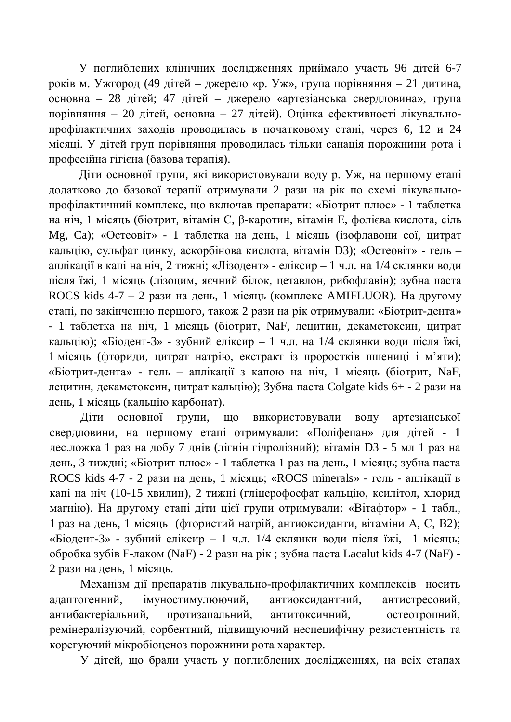У поглиблених клінічних дослідженнях приймало участь 96 дітей 6-7 років м. Ужгород (49 дітей – джерело «р. Уж», група порівняння – 21 дитина, основна – 28 дітей; 47 дітей – джерело «артезіанська свердловина», група порівняння – 20 дітей, основна – 27 дітей). Оцінка ефективності лікувальнопрофілактичних заходів проводилась в початковому стані, через 6, 12 и 24 місяці. У дітей груп порівняння проводилась тільки санація порожнини рота і професійна гігієна (базова терапія).

Діти основної групи, які використовували воду р. Уж. на першому етапі додатково до базової терапії отримували 2 рази на рік по схемі лікувальнопрофілактичний комплекс, що включав препарати: «Біотрит плюс» - 1 таблетка на ніч, 1 місяць (біотрит, вітамін С, β-каротин, вітамін Е, фолієва кислота, сіль Mg, Ca); «Остеовіт» - 1 таблетка на день, 1 місяць (ізофлавони сої, цитрат кальцію, сульфат цинку, аскорбінова кислота, вітамін D3); «Остеовіт» - гель – аплікації в капі на ніч, 2 тижні; «Лізодент» - еліксир – 1 ч.л. на 1/4 склянки води після їжі, 1 місяць (лізоцим, яєчний білок, цетавлон, рибофлавін); зубна паста ROCS kids  $4-7-2$  рази на день, 1 місяць (комплекс AMIFLUOR). На другому етапі, по закінченню першого, також 2 рази на рік отримували: «Біотрит-дента» - 1 таблетка на ніч, 1 місяць (біотрит, NaF, лецитин, декаметоксин, цитрат кальцію); «Біодент-3» - зубний еліксир – 1 ч.л. на 1/4 склянки води після їжі, 1 місяць (фториди, цитрат натрію, екстракт із проростків пшениці і м'яти); «Біотрит-дента» - гель – аплікації з капою на ніч, 1 місяць (біотрит, NaF, лецитин, декаметоксин, цитрат кальцію); Зубна паста Colgate kids 6+ - 2 рази на день, 1 місяць (кальцію карбонат).

Діти основної групи, що використовували воду артезіанської свердловини, на першому етапі отримували: «Поліфепан» для дітей - 1 дес. ложка 1 раз на добу 7 днів (лігнін гідролізний); вітамін D3 - 5 мл 1 раз на день, 3 тиждні; «Біотрит плюс» - 1 таблетка 1 раз на день, 1 місяць; зубна паста ROCS kids 4-7 - 2 рази на день, 1 місяць; «ROCS minerals» - гель - аплікації в капі на ніч (10-15 хвилин), 2 тижні (гліцерофосфат кальцію, ксилітол, хлорид магнію). На другому етапі діти цієї групи отримували: «Вітафтор» - 1 табл., 1 раз на день, 1 місяць (фтористий натрій, антиоксиданти, вітаміни А, С, В2); «Біодент-3» - зубний еліксир – 1 ч.л.  $1/4$  склянки води після їжі, 1 місяць;  $\sigma$ бробка зубів F-лаком (NaF) - 2 рази на рік; зубна паста Lacalut kids 4-7 (NaF) -2 рази на день, 1 місяць.

Механізм дії препаратів лікувально-профілактичних комплексів носить адаптогенний, імуностимулюючий, антиоксидантний, антистресовий, антибактеріальний, протизапальний, антитоксичний, остеотропний, ремінералізуючий, сорбентний, підвищуючий неспецифічну резистентність та корегуючий мікробіоценоз порожнини рота характер.

У дітей, що брали участь у поглиблених дослідженнях, на всіх етапах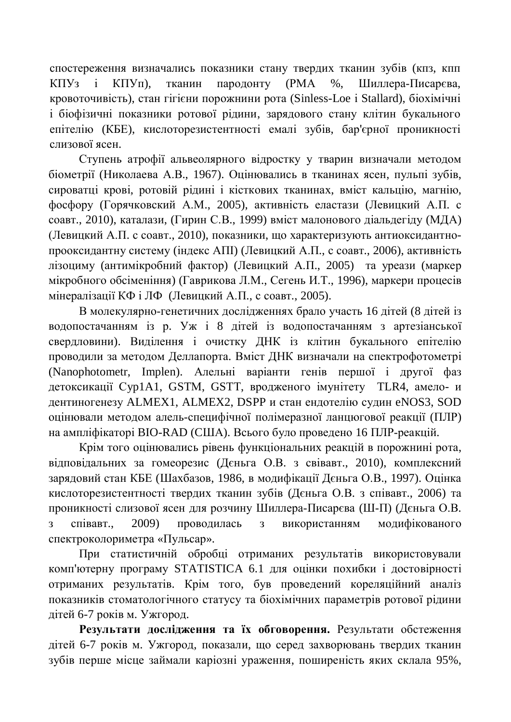спостереження визначались показники стану твердих тканин зубів (кпз, кпп КПУз і КПУп), тканин пародонту (РМА %, Шиллера-Писарєва, кровоточивість), стан гігієни порожнини рота (Sinless-Loe і Stallard), біохімічні і біофізичні показники ротової рідини, зарядового стану клітин букального епітелію (КБЕ), кислоторезистентності емалі зубів, бар'єрної проникності слизової ясен.

Ступень атрофії альвеолярного відростку у тварин визначали методом біометрії (Николаева А.В., 1967). Оцінювались в тканинах ясен, пульпі зубів, сироватці крові, ротовій рідині і кісткових тканинах, вміст кальцію, магнію, фосфору (Горячковский А.М., 2005), активність еластази (Левицкий А.П. с соавт., 2010), каталази, (Гирин С.В., 1999) вміст малонового діальдегіду (МДА) (Левицкий А.П. с соавт., 2010), показники, що характеризують антиоксидантнопрооксилантну систему (індекс АПІ) (Левицкий А.П., с соавт., 2006), активність лізоциму (антимікробний фактор) (Левицкий А.П., 2005) та уреази (маркер мікробного обсіменіння) (Гаврикова Л.М., Сегень И.Т., 1996), маркери процесів мінералізації КФ і ЛФ (Левицкий А.П., с соавт., 2005).

В молекулярно-генетичних дослідженнях брало участь 16 дітей (8 дітей із волопостачанням із р. Уж і 8 літей із волопостачанням з артезіанської свердловини). Виділення і очистку ДНК із клітин букального епітелію проводили за методом Деллапорта. Вміст ДНК визначали на спектрофотометрі (Nanophotometr, Implen). Алельні варіанти генів першої і другої фаз детоксикації Cyp1A1, GSTM, GSTT, вродженого імунітету TLR4, амело- и дентиногенезу ALMEX1, ALMEX2, DSPP и стан ендотелію судин eNOS3, SOD оцінювали методом алель-специфічної полімеразної ланцюгової реакції (ПЛР) на ампліфікаторі BIO-RAD (США). Всього було проведено 16 ПЛР-реакцій.

Крім того оцінювались рівень функціональних реакцій в порожнині рота, відповідальних за гомеорезис (Дєньга О.В. з свівавт., 2010), комплексний зарядовий стан КБЕ (Шахбазов, 1986, в модифікації Дєньга О.В., 1997). Оцінка кислоторезистентності твердих тканин зубів (Дєньга О.В. з співавт., 2006) та проникності слизової ясен для розчину Шиллера-Писарєва (Ш-П) (Дєньга О.В. з співавт., 2009) проводилась з використанням модифікованого спектроколориметра «Пульсар».

При статистичній обробці отриманих результатів використовували комп'ютерну програму STATISTICA 6.1 для оцінки похибки і достовірності отриманих результатів. Крім того, був проведений кореляційний аналіз показників стоматологічного статусу та біохімічних параметрів ротової рідини дітей 6-7 років м. Ужгород.

Результати дослідження та їх обговорення. Результати обстеження дітей 6-7 років м. Ужгород, показали, що серед захворювань твердих тканин зубів перше місце займали каріозні ураження, поширеність яких склала 95%,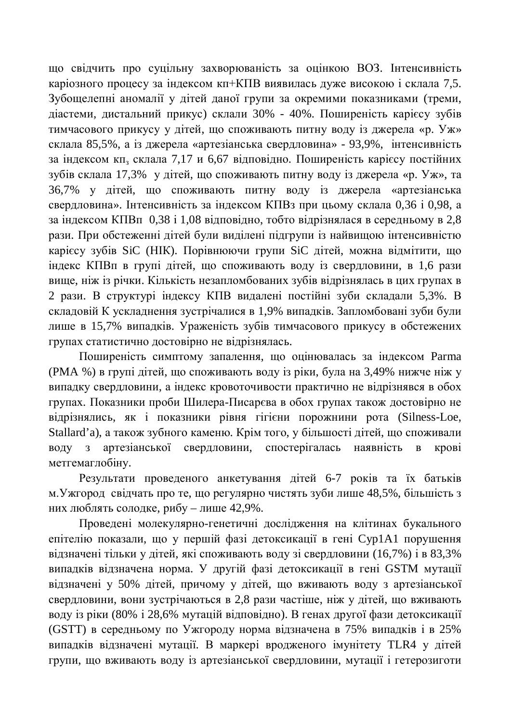що свідчить про суцільну захворюваність за оцінкою ВОЗ. Інтенсивність каріозного процесу за індексом кп+КПВ виявилась дуже високою і склала 7,5. Зубощелепні аномалії у дітей даної групи за окремими показниками (треми, діастеми, дистальний прикус) склали 30% - 40%. Поширеність карієсу зубів тимчасового прикусу у дітей, що споживають питну воду із джерела «р. Уж» склала 85,5%, а із джерела «артезіанська свердловина» - 93,9%, інтенсивність за індексом кп<sub>з</sub> склала 7,17 и 6,67 відповідно. Поширеність карієсу постійних зубів склала 17,3% у дітей, що споживають питну воду із джерела «р. Уж», та 36,7% у дітей, що споживають питну воду із джерела «артезіанська свердловина». Інтенсивність за індексом КПВз при цьому склала 0,36 і 0,98, а за індексом КПВп 0,38 і 1,08 відповідно, тобто відрізнялася в середньому в 2,8 рази. При обстеженні дітей були виділені підгрупи із найвищою інтенсивністю карієсу зубів SiC (НІК). Порівнюючи групи SiC дітей, можна відмітити, що індекс КПВп в групі дітей, що споживають воду із свердловини, в 1,6 рази вище, ніж із річки. Кількість незапломбованих зубів відрізнялась в цих групах в 2 рази. В структурі індексу КПВ видалені постійні зуби складали 5,3%. В складовій К ускладнення зустрічалися в 1,9% випадків. Запломбовані зуби були лише в 15,7% випадків. Ураженість зубів тимчасового прикусу в обстежених групах статистично достовірно не відрізнялась.

Поширеність симптому запалення, що оцінювалась за індексом Parma (PMA %) в групі дітей, що споживають воду із ріки, була на 3,49% нижче ніж у випадку свердловини, а індекс кровоточивости практично не відрізнявся в обох групах. Показники проби Шилера-Писарєва в обох групах також достовірно не відрізнялись, як і показники рівня гігієни порожнини рота (Silness-Loe, Stallard'a), а також зубного каменю. Крім того, у більшості дітей, що споживали воду з артезіанської свердловини, спостерігалась наявність в крові метгемаглобіну.

Результати проведеного анкетування дітей 6-7 років та їх батьків м. Ужгород свідчать про те, що регулярно чистять зуби лише 48,5%, більшість з них люблять солодке, рибу – лише 42,9%.

Проведені молекулярно-генетичні дослідження на клітинах букального епітелію показали, що у першій фазі детоксикації в гені Сур1А1 порушення відзначені тільки у дітей, які споживають воду зі свердловини (16,7%) і в 83,3% випадків відзначена норма. У другій фазі детоксикації в гені GSTM мутації відзначені у 50% дітей, причому у дітей, що вживають воду з артезіанської свердловини, вони зустрічаються в 2,8 рази частіше, ніж у дітей, що вживають воду із ріки (80% і 28,6% мутацій відповідно). В генах другої фази детоксикації (GSTT) в середньому по Ужгороду норма відзначена в 75% випадків і в 25% випадків відзначені мутації. В маркері вродженого імунітету TLR4 у дітей групи, що вживають воду із артезіанської свердловини, мутації і гетерозиготи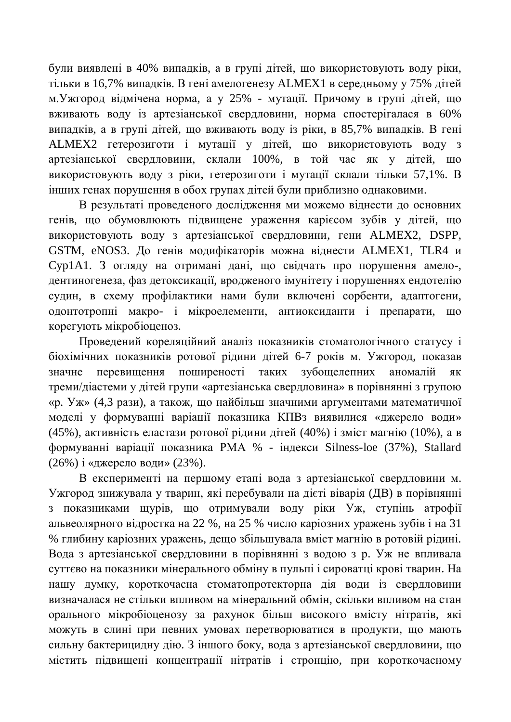були виявлені в 40% випадків, а в групі дітей, що використовують воду ріки, тільки в 16,7% випадків. В гені амелогенезу ALMEX1 в середньому у 75% дітей м. Ужгород відмічена норма, а у 25% - мутації. Причому в групі дітей, що вживають воду із артезіанської свердловини, норма спостерігалася в 60% випадків, а в групі дітей, що вживають воду із ріки, в 85,7% випадків. В гені ALMEX2 гетерозиготи і мутації у дітей, що використовують воду з артезіанської свердловини, склали 100%, в той час як у дітей, що використовують воду з ріки, гетерозиготи і мутації склали тільки 57,1%. В інших генах порушення в обох групах дітей були приблизно однаковими.

В результаті проведеного дослідження ми можемо віднести до основних генів, що обумовлюють підвищене ураження карієсом зубів у дітей, що використовують воду з артезіанської свердловини, гени ALMEX2, DSPP, GSTM, eNOS3. До генів модифікаторів можна віднести ALMEX1, TLR4 и Cyp1A1. З огляду на отримані дані, що свідчать про порушення амело-, дентиногенеза, фаз детоксикації, вродженого імунітету і порушеннях ендотелію судин, в схему профілактики нами були включені сорбенти, адаптогени, одонтотропні макро- і мікроелементи, антиоксиданти і препарати, що корегують мікробіоценоз.

Проведений кореляційний аналіз показників стоматологічного статусу і біохімічних показників ротової рідини дітей 6-7 років м. Ужгород, показав значне перевищення поширеності таких зубощелепних аномалій як треми/діастеми у дітей групи «артезіанська свердловина» в порівнянні з групою «р. Уж» (4,3 рази), а також, що найбільш значними аргументами математичної моделі у формуванні варіації показника КПВз виявилися «джерело води» (45%), активність еластази ротової рідини дітей (40%) і зміст магнію (10%), а в формуванні варіації показника РМА % - індекси Silness-loe (37%), Stallard (26%) і «джерело води» (23%).

В експерименті на першому етапі вода з артезіанської свердловини м. Ужгород знижувала у тварин, які перебували на дієті віварія (ДВ) в порівнянні з показниками щурів, що отримували воду ріки Уж, ступінь атрофії альвеолярного відростка на 22 %, на 25 % число каріозних уражень зубів і на 31 % глибину каріозних уражень, дещо збільшувала вміст магнію в ротовій рідині. Вода з артезіанської свердловини в порівнянні з водою з р. Уж не впливала суттєво на показники мінерального обміну в пульпі і сироватці крові тварин. На нашу думку, короткочасна стоматопротекторна дія води із свердловини визначалася не стільки впливом на мінеральний обмін, скільки впливом на стан орального мікробіоценозу за рахунок більш високого вмісту нітратів, які можуть в слині при певних умовах перетворюватися в продукти, що мають сильну бактерицидну дію. З іншого боку, вода з артезіанської свердловини, що містить підвищені концентрації нітратів і стронцію, при короткочасному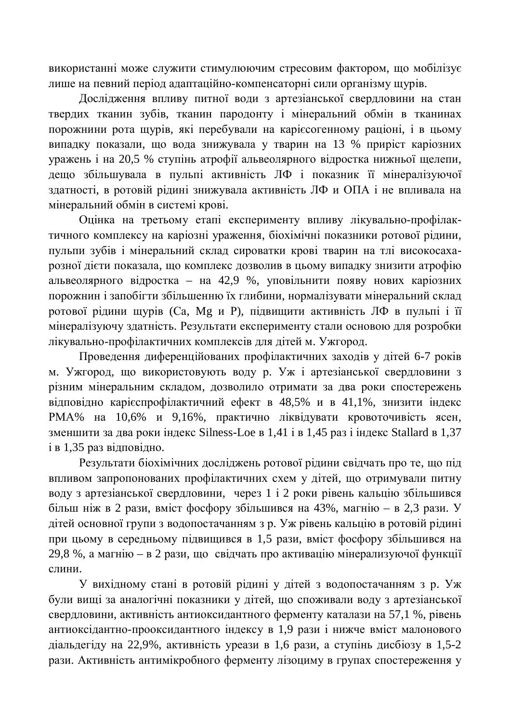використанні може служити стимулюючим стресовим фактором, що мобілізує лише на певний період адаптаційно-компенсаторні сили організму щурів.

Дослідження впливу питної води з артезіанської свердловини на стан твердих тканин зубів, тканин пародонту і мінеральний обмін в тканинах порожнини рота щурів, які перебували на карієсогенному раціоні, і в цьому випадку показали, що вода знижувала у тварин на 13 % приріст каріозних уражень і на 20,5 % ступінь атрофії альвеолярного відростка нижньої щелепи, дешо збільшувала в пульпі активність ЛФ і показник її мінералізуючої здатності, в ротовій рідині знижувала активність ЛФ и ОПА і не впливала на мінеральний обмін в системі крові.

Оцінка на третьому етапі експерименту впливу лікувально-профілактичного комплексу на каріозні ураження, біохімічні показники ротової рідини, пульпи зубів і мінеральний склад сироватки крові тварин на тлі високосахарозної дієти показала, що комплекс дозволив в цьому випадку знизити атрофію альвеолярного відростка – на 42,9 %, уповільнити появу нових каріозних порожнин і запобігти збільшенню їх глибини, нормалізувати мінеральний склад ротової рідини щурів (Са, Мg и Р), підвищити активність ЛФ в пульпі і її мінералізуючу здатність. Результати експерименту стали основою для розробки лікувально-профілактичних комплексів для дітей м. Ужгород.

Проведення диференційованих профілактичних заходів у дітей 6-7 років м. Ужгород, що використовують воду р. Уж і артезіанської свердловини з різним мінеральним складом, дозволило отримати за два роки спостережень відповідно карієспрофілактичний ефект в 48,5% и в 41,1%, знизити індекс РМА% на 10,6% и 9,16%, практично ліквідувати кровоточивість ясен, зменшити за два роки індекс Silness-Loe в 1,41 і в 1,45 раз і індекс Stallard в 1,37  $i$  в 1,35 раз відповідно.

Результати біохімічних досліджень ротової рідини свідчать про те, що під впливом запропонованих профілактичних схем у дітей, що отримували питну воду з артезіанської свердловини, через 1 і 2 роки рівень кальцію збільшився більш ніж в 2 рази, вміст фосфору збільшився на 43%, магнію – в 2,3 рази. У дітей основної групи з водопостачанням з р. Уж рівень кальцію в ротовій рідині при цьому в середньому підвищився в 1,5 рази, вміст фосфору збільшився на 29,8 %, а магнію – в 2 рази, що свідчать про активацію мінерализуючої функції слини.

У вихідному стані в ротовій рідині у дітей з водопостачанням з р. Уж були вищі за аналогічні показники у дітей, що споживали воду з артезіанської свердловини, активність антиоксидантного ферменту каталази на 57,1 %, рівень антиоксідантно-прооксидантного індексу в 1,9 рази і нижче вміст малонового діальдегіду на 22,9%, активність уреази в 1,6 рази, а ступінь дисбіозу в 1,5-2 рази. Активність антимікробного ферменту лізоциму в групах спостереження у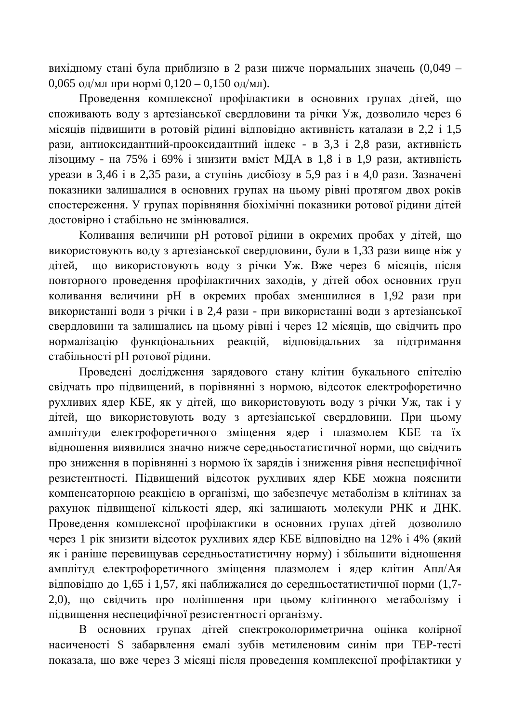вихідному стані була приблизно в 2 рази нижче нормальних значень (0,049 – 0,065 од/мл при нормі 0,120 – 0,150 од/мл).

Провелення комплексної профілактики в основних групах літей, що споживають воду з артезіанської свердловини та річки Уж, дозволило через 6 місяців підвищити в ротовій рідині відповідно активність каталази в 2,2 і 1,5 рази, антиоксидантний-прооксидантний індекс - в 3,3 і 2,8 рази, активність лізоциму - на 75% і 69% і знизити вміст МДА в 1,8 і в 1,9 рази, активність vреази в 3,46  $\overline{1}$  в 2,35 рази, а ступінь лисбіозу в 5,9 раз і в 4,0 рази. Зазначені показники залишалися в основних групах на цьому рівні протягом двох років спостереження. У групах порівняння біохімічні показники ротової рідини дітей достовірно і стабільно не змінювалися.

Коливання величини рН ротової рідини в окремих пробах у дітей, що використовують воду з артезіанської свердловини, були в 1,33 рази више ніж у дітей, що використовують воду з річки Уж. Вже через 6 місяців, після повторного проведення профілактичних заходів, у дітей обох основних груп коливання величини рН в окремих пробах зменшилися в 1,92 рази при використанні води з річки і в 2,4 рази - при використанні води з артезіанської свердловини та залишались на цьому рівні і через 12 місяців, що свідчить про нормалізацію функціональних реакцій, відповідальних за підтримання стабільності рН ротової рідини.

Проведені дослідження зарядового стану клітин букального епітелію свідчать про підвищений, в порівнянні з нормою, відсоток електрофоретично рухливих ядер КБЕ, як у дітей, що використовують воду з річки Уж, так і у дітей, що використовують воду з артезіанської свердловини. При цьому амплітуди електрофоретичного зміщення ядер і плазмолем КБЕ та їх відношення виявилися значно нижче середньостатистичної норми, що свідчить про зниження в порівнянні з нормою їх зарядів і зниження рівня неспецифічної резистентності. Підвищений відсоток рухливих ядер КБЕ можна пояснити компенсаторною реакцією в організмі, що забезпечує метаболізм в клітинах за рахунок підвищеної кількості ядер, які залишають молекули РНК и ДНК. Проведення комплексної профілактики в основних групах дітей дозволило через 1 рік знизити відсоток рухливих ядер КБЕ відповідно на 12% і 4% (який як і раніше перевищував середньостатистичну норму) і збільшити відношення амплітуд електрофоретичного зміщення плазмолем і ядер клітин Апл/Ая відповідно до 1,65 і 1,57, які наближалися до середньостатистичної норми (1,7-2,0), що свідчить про поліпшення при цьому клітинного метаболізму і підвищення неспецифічної резистентності організму.

В основних групах дітей спектроколориметрична оцінка колірної насиченості S забарвлення емалі зубів метиленовим синім при ТЕР-тесті показала, що вже через 3 місяці після проведення комплексної профілактики у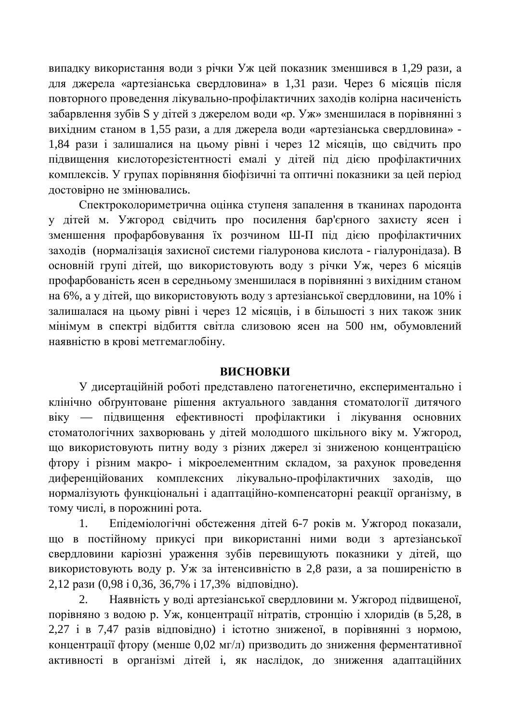випадку використання води з річки Уж цей показник зменшився в 1,29 рази, а для джерела «артезіанська свердловина» в 1,31 рази. Через 6 місяців після повторного проведення лікувально-профілактичних заходів колірна насиченість забарвлення зубів S у дітей з джерелом води «р. Уж» зменшилася в порівнянні з вихідним станом в 1,55 рази, а для джерела води «артезіанська свердловина» -1,84 рази і залишалися на цьому рівні і через 12 місяців, що свідчить про підвищення кислоторезістентності емалі у дітей під дією профілактичних комплексів. У групах порівняння біофізичні та оптичні показники за цей період достовірно не змінювались.

Спектроколориметрична оцінка ступеня запалення в тканинах пародонта у дітей м. Ужгород свідчить про посилення бар'єрного захисту ясен і зменшення профарбовування їх розчином Ш-П під дією профілактичних заходів (нормалізація захисної системи гіалуронова кислота - гіалуронідаза). В основній групі дітей, що використовують воду з річки Уж, через 6 місяців профарбованість ясен в середньому зменшилася в порівнянні з вихідним станом на 6%, а у дітей, що використовують воду з артезіанської свердловини, на 10% і залишалася на цьому рівні і через 12 місяців, і в більшості з них також зник мінімум в спектрі відбиття світла слизовою ясен на 500 нм, обумовлений наявністю в крові метгемаглобіну.

#### **ВИСНОВКИ**

У дисертаційній роботі представлено патогенетично, експериментально і клінічно обґрунтоване рішення актуального завдання стоматології дитячого віку — підвищення ефективності профілактики і лікування основних стоматологічних захворювань у дітей молодшого шкільного віку м. Ужгород, що використовують питну воду з різних джерел зі зниженою концентрацією фтору і різним макро- і мікроелементним складом, за рахунок проведення диференційованих комплексних лікувально-профілактичних заходів, що нормалізують функціональні і адаптаційно-компенсаторні реакції організму, в тому числі, в порожнині рота.

1. Епідеміологічні обстеження дітей 6-7 років м. Ужгород показали, що в постійному прикусі при використанні ними води з артезіанської свердловини каріозні ураження зубів перевищують показники у дітей, що використовують воду р. Уж за інтенсивністю в 2,8 рази, а за поширеністю в  $2,12$  рази (0,98 і 0,36, 36,7% і 17,3% відповідно).

2. Наявність у воді артезіанської свердловини м. Ужгород підвищеної, порівняно з водою р. Уж, концентрації нітратів, стронцію і хлоридів (в 5,28, в 2,27 і в 7,47 разів відповідно) і істотно зниженої, в порівнянні з нормою, концентрації фтору (менше 0,02 мг/л) призводить до зниження ферментативної активності в організмі дітей і, як наслідок, до зниження адаптаційних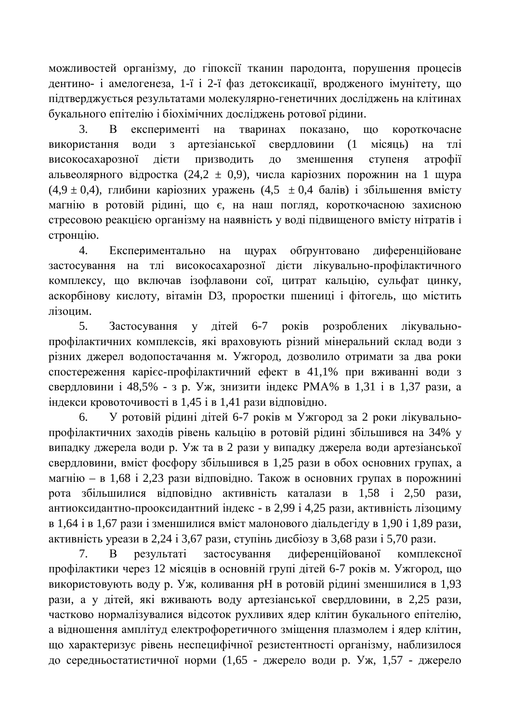можливостей організму, до гіпоксії тканин пародонта, порушення процесів дентино- і амелогенеза, 1-ї і 2-ї фаз детоксикації, вродженого імунітету, що пілтверлжується результатами молекулярно-генетичних лосліджень на клітинах букального епітелію і біохімічних досліджень ротової рідини.

3. В експерименті на тваринах показано, що короткочасне використання води з артезіанської свердловини (1 місяць) на тлі високосахарозної дієти призводить до зменшення ступеня атрофії альвеолярного відростка (24,2 ± 0,9), числа каріозних порожнин на 1 шура  $(4,9 \pm 0,4)$ , глибини каріозних уражень  $(4,5 \pm 0,4)$  балів) і збільшення вмісту магнію в ротовій рідині, що є, на наш погляд, короткочасною захисною стресовою реакцією організму на наявність у воді підвищеного вмісту нітратів і стронцію.

4. Експериментально на щурах обґрунтовано диференційоване застосування на тлі високосахарозної дієти лікувально-профілактичного комплексу, що включав ізофлавони сої, цитрат кальцію, сульфат цинку, аскорбінову кислоту, вітамін D3, проростки пшениці і фітогель, що містить лізоцим.

5. Застосування у літей 6-7 років розроблених лікувальнопрофілактичних комплексів, які враховують різний мінеральний склад води з різних джерел водопостачання м. Ужгород, дозволило отримати за два роки спостереження карієс-профілактичний ефект в 41,1% при вживанні води з свердловини і 48,5% - з р. Уж, знизити індекс РМА% в 1,31 і в 1,37 рази, а  $i$ ндекси кровоточивості в 1,45 і в 1,41 рази відповідно.

6. У ротовій рідині дітей 6-7 років м Ужгород за 2 роки лікувальнопрофілактичних заходів рівень кальцію в ротовій рідині збільшився на 34% у випадку джерела води р. Уж та в 2 рази у випадку джерела води артезіанської свердловини, вміст фосфору збільшився в 1,25 рази в обох основних групах, а магнію – в 1,68 і 2,23 рази відповідно. Також в основних групах в порожнині рота збільшилися відповідно активність каталази в 1,58 і 2,50 рази, антиоксидантно-прооксидантний індекс - в 2,99 і 4,25 рази, активність лізоциму в 1,64 і в 1,67 рази і зменшилися вміст малонового діальдегіду в 1,90 і 1,89 рази, активність уреази в 2,24 і 3,67 рази, ступінь дисбіозу в 3,68 рази і 5,70 рази.

7. В результаті застосування лиференційованої комплексної профілактики через 12 місяців в основній групі дітей 6-7 років м. Ужгород, що використовують воду р. Уж, коливання рН в ротовій рідині зменшилися в 1,93 рази, а у дітей, які вживають воду артезіанської свердловини, в 2,25 рази, частково нормалізувалися відсоток рухливих ядер клітин букального епітелію, а відношення амплітуд електрофоретичного зміщення плазмолем і ядер клітин, що характеризує рівень неспецифічної резистентності організму, наблизилося до середньостатистичної норми (1,65 - джерело води р. Уж, 1,57 - джерело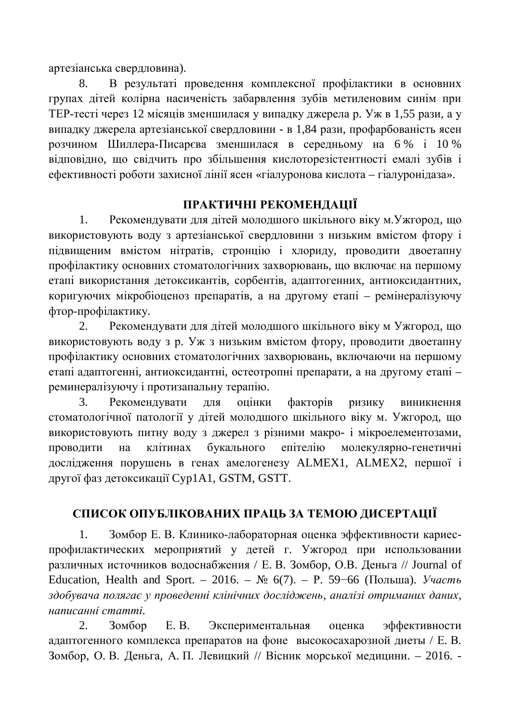артезіанська свердловина).

8. В результаті проведення комплексної профілактики в основних групах літей колірна насиченість забарвлення зубів метиленовим синім при ТЕР-тесті через 12 місяців зменшилася у випадку джерела р. Уж в 1,55 рази, а у випадку джерела артезіанської свердловини - в 1,84 рази, профарбованість ясен розчином Шиллера-Писарєва зменшилася в середньому на 6% і 10% відповідно, що свідчить про збільшення кислоторезістентності емалі зубів і ефективності роботи захисної лінії ясен «гіалуронова кислота – гіалуронідаза».

# ПРАКТИЧНІ РЕКОМЕНДАЦІЇ

1. Рекомендувати для дітей молодшого шкільного віку м. Ужгород, що використовують воду з артезіанської свердловини з низьким вмістом фтору і підвищеним вмістом нітратів, стронцію і хлориду, проводити двоетапну профілактику основних стоматологічних захворювань, що включає на першому етапі використання детоксикантів, сорбентів, адаптогенних, антиоксидантних, коригуючих мікробіоценоз препаратів, а на другому етапі – ремінералізуючу фтор-профілактику.

2. Рекомендувати для дітей молодшого шкільного віку м Ужгород, що використовують воду з р. Уж з низьким вмістом фтору, проводити двоетапну профілактику основних стоматологічних захворювань, включаючи на першому етапі адаптогенні, антиоксидантні, остеотропні препарати, а на другому етапі – реминералізуючу і протизапальну терапію.

3. Рекомендувати для оцінки факторів ризику виникнення стоматологічної патології у дітей молодшого шкільного віку м. Ужгород, що використовують питну воду з джерел з різними макро- і мікроелементозами, проводити на клітинах букального епітелію молекулярно-генетичні дослідження порушень в генах амелогенезу ALMEX1, ALMEX2, першої і другої фаз детоксикації Cyp1A1, GSTM, GSTT.

# СПИСОК ОПУБЛІКОВАНИХ ПРАШЬ ЗА ТЕМОЮ ЛИСЕРТАШЇ

1. Зомбор Е. В. Клинико-лабораторная оценка эффективности кариеспрофилактических мероприятий у детей г. Ужгород при использовании различных источников водоснабжения / Е. В. Зомбор, О.В. Деньга // Journal of Education, Health and Sport. – 2016. –  $\mathbb{N}^2$  6(7). – P. 59–66 (Польша). *Участь* здобувача полягає у проведенні клінічних досліджень, аналізі отриманих даних, *ɧɚɩɢɫɚɧɧɿɫɬɚɬɬɿ.*

2. Зомбор Е.В. Экспериментальная оценка эффективности адаптогенного комплекса препаратов на фоне высокосахарозной диеты / Е. В. Зомбор, О. В. Деньга, А. П. Левицкий // Вісник морської медицини. – 2016. -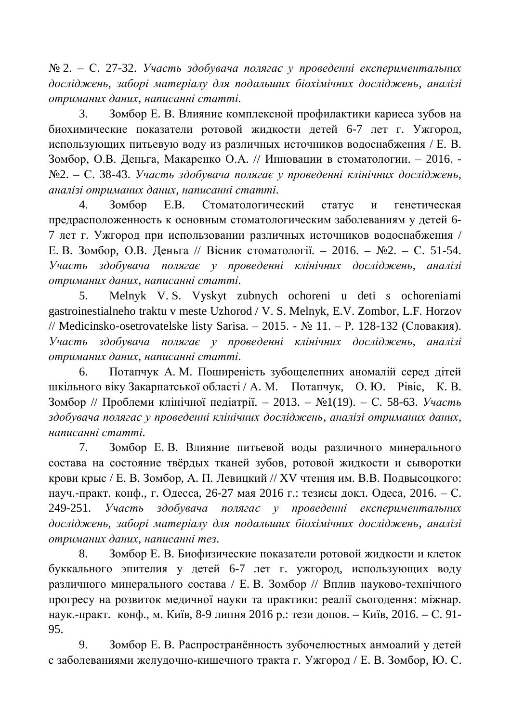$\mathbb{N}_2$  2. – С. 27-32. Участь здобувача полягає у проведенні експериментальних досліджень, заборі матеріалу для подальших біохімічних досліджень, аналізі  $\delta$ *ютриманих даних, написанні статті.* 

3. Зомбор Е. В. Влияние комплексной профилактики кариеса зубов на биохимические показатели ротовой жидкости детей 6-7 лет г. Ужгород, использующих питьевую воду из различных источников водоснабжения / Е. В. Зомбор, О.В. Деньга, Макаренко О.А. // Инновации в стоматологии. - 2016. - $N<sub>2.</sub>$  – С. 38-43. Участь здобувача полягає у проведенні клінічних досліджень, *ɚɧɚɥɿɡɿɨɬɪɢɦɚɧɢɯɞɚɧɢɯ, ɧɚɩɢɫɚɧɧɿɫɬɚɬɬɿ.*

4. Зомбор Е.В. Стоматологический статус и генетическая предрасположенность к основным стоматологическим заболеваниям у детей 6-7 лет г. Ужгород при использовании различных источников водоснабжения / Е. В. Зомбор, О.В. Деньга // Вісник стоматології. – 2016. – №2. – С. 51-54. **Участь** здобувача полягає у проведенні клінічних досліджень, аналізі  $\delta$ *ютриманих даних, написанні статті.* 

5. Melnyk V. S. Vyskyt zubnych ochoreni u deti s ochoreniami gastroinestialneho traktu v meste Uzhorod / V. S. Melnyk, E.V. Zombor, L.F. Horzov // Medicinsko-osetrovatelske listy Sarisa. – 2015. - № 11. – Р. 128-132 (Словакия). **Участь** здобувача полягає у проведенні клінічних досліджень, аналізі  $\delta$ *ютриманих даних, написанні статті.* 

6. Потапчук А. М. Поширеність зубощелепних аномалій серед дітей шкільного віку Закарпатської області / А. М. Потапчук, О. Ю. Рівіс, К. В. Зомбор // Проблеми клінічної педіатрії. – 2013. – №1(19). – С. 58-63. Участь здобувача полягає у проведенні клінічних досліджень, аналізі отриманих даних, *ɧɚɩɢɫɚɧɧɿɫɬɚɬɬɿ.*

7. Зомбор Е.В. Влияние питьевой воды различного минерального состава на состояние твёрдых тканей зубов, ротовой жидкости и сыворотки крови крыс / Е. В. Зомбор, А. П. Левицкий // XV чтения им. В.В. Подвысоцкого: науч.-практ. конф., г. Одесса, 26-27 мая 2016 г.: тезисы докл. Одеса, 2016. – С. 249-251. Участь здобувача полягає у проведенні експериментальних досліджень, заборі матеріалу для подальших біохімічних досліджень, аналізі  $\delta$ *ютриманих даних, написанні тез.* 

8. Зомбор Е. В. Биофизические показатели ротовой жидкости и клеток буккального эпителия у детей 6-7 лет г. ужгород, использующих воду различного минерального состава / Е. В. Зомбор // Вплив науково-технічного прогресу на розвиток медичної науки та практики: реалії сьогодення: міжнар. наук.-практ. конф., м. Київ, 8-9 липня 2016 р.: тези допов. – Київ, 2016. – С. 91-95.

9. Зомбор Е. В. Распространённость зубочелюстных анмоалий у детей с заболеваниями желудочно-кишечного тракта г. Ужгород / Е. В. Зомбор, Ю. С.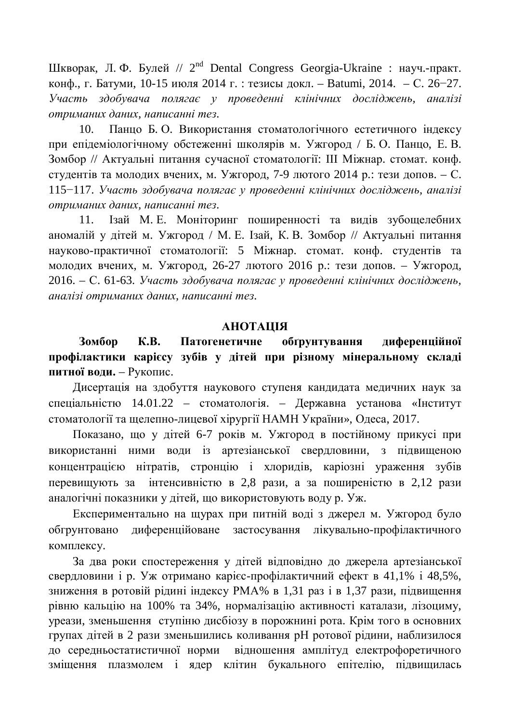Шкворак, Л. Ф. Булей // 2<sup>nd</sup> Dental Congress Georgia-Ukraine : науч.-практ. конф., г. Батуми, 10-15 июля 2014 г. : тезисы докл. – Batumi, 2014. – С. 26–27. **Участь** здобувача полягає у проведенні клінічних досліджень, аналізі  $\mu$ *ютриманих даних, написанні тез.* 

10. Панцо Б. О. Використання стоматологічного естетичного індексу при епідеміологічному обстеженні школярів м. Ужгород / Б.О. Панцо, Е.В. Зомбор // Актуальні питання сучасної стоматології: III Міжнар. стомат. конф. студентів та молодих вчених, м. Ужгород, 7-9 лютого 2014 р.: тези допов. – С. 115<sup>-</sup>117. Участь здобувача полягає у проведенні клінічних досліджень, аналізі  $\delta$ *ютриманих даних, написанні тез.* 

11. Ізай М. Е. Моніторинг поширенності та видів зубощелебних аномалій у дітей м. Ужгород / М. Е. Ізай, К. В. Зомбор // Актуальні питання науково-практичної стоматології: 5 Міжнар. стомат. конф. студентів та молодих вчених, м. Ужгород, 26-27 лютого 2016 р.: тези допов. – Ужгород, 2016. – С. 61-63. Участь здобувача полягає у проведенні клінічних досліджень, *ɚɧɚɥɿɡɿɨɬɪɢɦɚɧɢɯɞɚɧɢɯ, ɧɚɩɢɫɚɧɧɿɬɟɡ.*

#### **AHOTAIIIA**

Зомбор К.В. Патогенетичне обґрунтування диференційної профілактики карієсу зубів у дітей при різному мінеральному складі питної води. – Рукопис.

Дисертація на здобуття наукового ступеня кандидата медичних наук за спеціальністю 14.01.22 – стоматологія. – Державна установа «Інститут стоматології та щелепно-лицевої хірургії НАМН України», Одеса, 2017.

Показано, що у дітей 6-7 років м. Ужгород в постійному прикусі при використанні ними води із артезіанської свердловини, з підвищеною концентрацією нітратів, стронцію і хлоридів, каріозні ураження зубів перевищують за интенсивністю в 2,8 рази, а за поширеністю в 2,12 рази аналогічні показники у дітей, що використовують воду р. Уж.

Експериментально на щурах при питній воді з джерел м. Ужгород було обгрунтовано диференційоване застосування лікувально-профілактичного комплексу.

За два роки спостереження у дітей відповідно до джерела артезіанської свердловини і р. Уж отримано карієс-профілактичний ефект в 41,1% і 48,5%, зниження в ротовій рідині індексу РМА% в 1,31 раз і в 1,37 рази, підвищення рівню кальцію на 100% та 34%, нормалізацію активності каталази, лізоциму, уреази, зменьшення ступіню дисбіозу в порожнині рота. Крім того в основних групах дітей в 2 рази зменьшились коливання рН ротової рідини, наблизилося до середньостатистичної норми відношення амплітуд електрофоретичного зміщення плазмолем і ядер клітин букального епітелію, підвищилась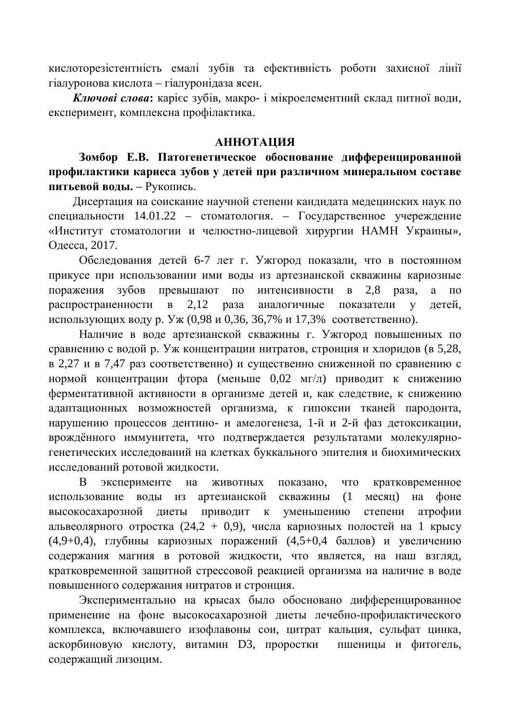кислоторезістентність емалі зубів та ефективність роботи захисної лінії гіалуронова кислота – гіалуронідаза ясен.

Ключові слова: карієс зубів, макро- і мікроелементний склад питної води, експеримент, комплексна профілактика.

### **МИЗИМАТОННА**

Зомбор Е.В. Патогенетическое обоснование дифференцированной профилактики кариеса зубов у детей при различном минеральном составе питьевой воды. – Рукопись.

Дисертация на соискание научной степени кандидата медецинских наук по специальности 14.01.22 – стоматология. – Государственное учереждение «Институт стоматологии и челюстно-лицевой хирургии НАМН Украины», Одесса, 2017.

Обследования детей 6-7 лет г. Ужгород показали, что в постоянном прикусе при использовании ими воды из артезианской скважины кариозные поражения зубов превышают по интенсивности в 2,8 раза, а по распространенности в 2,12 раза аналогичные показатели у детей, использующих воду р. Уж (0,98 и 0,36, 36,7% и 17,3% соответственно).

Наличие в воде артезианской скважины г. Ужгород повышенных по сравнению с водой р. Уж концентрации нитратов, стронция и хлоридов (в 5,28, в 2,27 и в 7,47 раз соответственно) и существенно сниженной по сравнению с нормой концентрации фтора (меньше 0,02 мг/л) приводит к снижению ферментативной активности в организме детей и, как следствие, к снижению адаптационных возможностей организма, к гипоксии тканей пародонта, нарушению процессов дентино- и амелогенеза, 1-й и 2-й фаз детоксикации, врождённого иммунитета, что подтверждается результатами молекулярногенетических исследований на клетках буккального эпителия и биохимических исследований ротовой жидкости.

В эксперименте на животных показано, что кратковременное использование воды из артезианской скважины (1 месяц) на фоне высокосахарозной лиеты приволит к уменьшению степени атрофии альвеолярного отростка  $(24,2 + 0,9)$ , числа кариозных полостей на 1 крысу  $(4.9+0.4)$ , глубины кариозных поражений  $(4.5+0.4$  баллов) и увеличению содержания магния в ротовой жидкости, что является, на наш взгляд, кратковременной защитной стрессовой реакцией организма на наличие в воде повышенного содержания нитратов и стронция.

Экспериментально на крысах было обосновано дифференцированное применение на фоне высокосахарозной диеты лечебно-профилактического комплекса, включавшего изофлавоны сои, цитрат кальция, сульфат цинка, аскорбиновую кислоту, витамин D3, проростки пшеницы и фитогель, содержащий лизоцим.